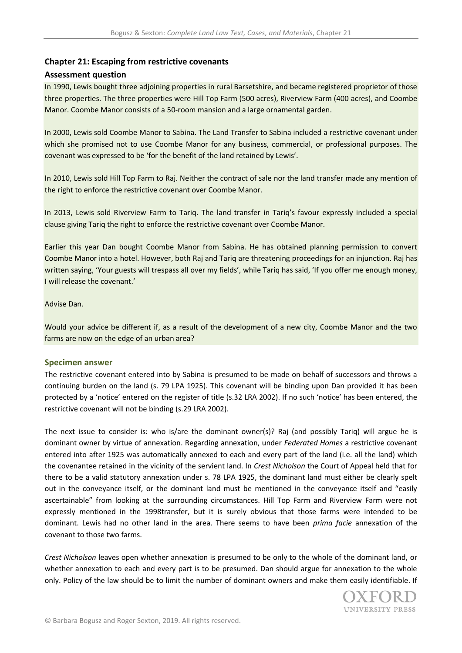## **Chapter 21: Escaping from restrictive covenants**

## **Assessment question**

In 1990, Lewis bought three adjoining properties in rural Barsetshire, and became registered proprietor of those three properties. The three properties were Hill Top Farm (500 acres), Riverview Farm (400 acres), and Coombe Manor. Coombe Manor consists of a 50-room mansion and a large ornamental garden.

In 2000, Lewis sold Coombe Manor to Sabina. The Land Transfer to Sabina included a restrictive covenant under which she promised not to use Coombe Manor for any business, commercial, or professional purposes. The covenant was expressed to be 'for the benefit of the land retained by Lewis'.

In 2010, Lewis sold Hill Top Farm to Raj. Neither the contract of sale nor the land transfer made any mention of the right to enforce the restrictive covenant over Coombe Manor.

In 2013, Lewis sold Riverview Farm to Tariq. The land transfer in Tariq's favour expressly included a special clause giving Tariq the right to enforce the restrictive covenant over Coombe Manor.

Earlier this year Dan bought Coombe Manor from Sabina. He has obtained planning permission to convert Coombe Manor into a hotel. However, both Raj and Tariq are threatening proceedings for an injunction. Raj has written saying, 'Your guests will trespass all over my fields', while Tariq has said, 'If you offer me enough money, I will release the covenant.'

## Advise Dan.

Would your advice be different if, as a result of the development of a new city, Coombe Manor and the two farms are now on the edge of an urban area?

## **Specimen answer**

The restrictive covenant entered into by Sabina is presumed to be made on behalf of successors and throws a continuing burden on the land (s. 79 LPA 1925). This covenant will be binding upon Dan provided it has been protected by a 'notice' entered on the register of title (s.32 LRA 2002). If no such 'notice' has been entered, the restrictive covenant will not be binding (s.29 LRA 2002).

The next issue to consider is: who is/are the dominant owner(s)? Raj (and possibly Tariq) will argue he is dominant owner by virtue of annexation. Regarding annexation, under *Federated Homes* a restrictive covenant entered into after 1925 was automatically annexed to each and every part of the land (i.e. all the land) which the covenantee retained in the vicinity of the servient land. In *Crest Nicholson* the Court of Appeal held that for there to be a valid statutory annexation under s. 78 LPA 1925, the dominant land must either be clearly spelt out in the conveyance itself, or the dominant land must be mentioned in the conveyance itself and "easily ascertainable" from looking at the surrounding circumstances. Hill Top Farm and Riverview Farm were not expressly mentioned in the 1998transfer, but it is surely obvious that those farms were intended to be dominant. Lewis had no other land in the area. There seems to have been *prima facie* annexation of the covenant to those two farms.

*Crest Nicholson* leaves open whether annexation is presumed to be only to the whole of the dominant land, or whether annexation to each and every part is to be presumed. Dan should argue for annexation to the whole only. Policy of the law should be to limit the number of dominant owners and make them easily identifiable. If